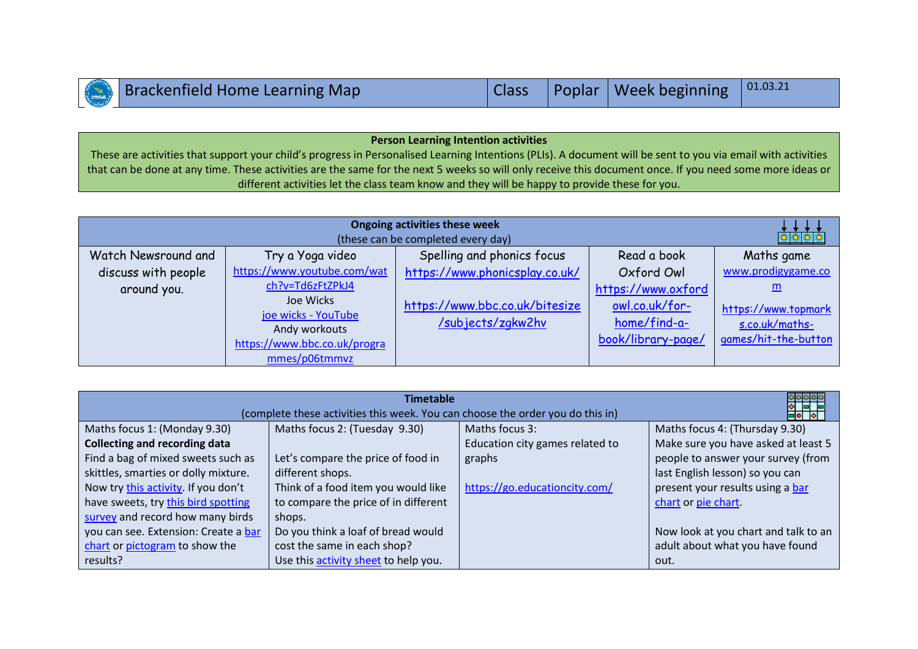| Brackenfield Home Learning Map |  | Class Poplar   Week beginning   01.03.21 |  |
|--------------------------------|--|------------------------------------------|--|
|                                |  |                                          |  |

## **Person Learning Intention activities** These are activities that support your child's progress in Personalised Learning Intentions (PLIs). A document will be sent to you via email with activities

that can be done at any time. These activities are the same for the next 5 weeks so will only receive this document once. If you need some more ideas or different activities let the class team know and they will be happy to provide these for you.

| <b>Ongoing activities these week</b><br>文文文文<br>(these can be completed every day) |                                                                                                                                                       |                                                                                       |                                                                                                 |                                                                                          |  |  |
|------------------------------------------------------------------------------------|-------------------------------------------------------------------------------------------------------------------------------------------------------|---------------------------------------------------------------------------------------|-------------------------------------------------------------------------------------------------|------------------------------------------------------------------------------------------|--|--|
| Watch Newsround and                                                                | Try a Yoga video                                                                                                                                      | Spelling and phonics focus                                                            | Read a book                                                                                     | Maths game                                                                               |  |  |
| discuss with people<br>around you.                                                 | https://www.youtube.com/wat<br>ch?v=Td6zFtZPkJ4<br>Joe Wicks<br>joe wicks - YouTube<br>Andy workouts<br>https://www.bbc.co.uk/progra<br>mmes/p06tmmvz | https://www.phonicsplay.co.uk/<br>https://www.bbc.co.uk/bitesize<br>/subjects/zgkw2hv | Oxford Owl<br>https://www.oxford<br>owl.co.uk/for-<br><u>home/find-a-</u><br>book/library-page/ | www.prodigygame.co<br>m<br>https://www.topmark<br>s.co.uk/maths-<br>games/hit-the-button |  |  |

| ****<br><b>Timetable</b><br>1 - 1<br>(complete these activities this week. You can choose the order you do this in)<br>$\blacksquare$ |                                      |                                 |                                      |  |  |  |
|---------------------------------------------------------------------------------------------------------------------------------------|--------------------------------------|---------------------------------|--------------------------------------|--|--|--|
| Maths focus 1: (Monday 9.30)                                                                                                          | Maths focus 2: (Tuesday 9.30)        | Maths focus 3:                  | Maths focus 4: (Thursday 9.30)       |  |  |  |
| <b>Collecting and recording data</b>                                                                                                  |                                      | Education city games related to | Make sure you have asked at least 5  |  |  |  |
| Find a bag of mixed sweets such as                                                                                                    | Let's compare the price of food in   | graphs                          | people to answer your survey (from   |  |  |  |
| skittles, smarties or dolly mixture.                                                                                                  | different shops.                     |                                 | last English lesson) so you can      |  |  |  |
| Now try this activity. If you don't                                                                                                   | Think of a food item you would like  | https://go.educationcity.com/   | present your results using a bar     |  |  |  |
| have sweets, try this bird spotting                                                                                                   | to compare the price of in different |                                 | chart or pie chart.                  |  |  |  |
| survey and record how many birds                                                                                                      | shops.                               |                                 |                                      |  |  |  |
| you can see. Extension: Create a bar                                                                                                  | Do you think a loaf of bread would   |                                 | Now look at you chart and talk to an |  |  |  |
| chart or pictogram to show the                                                                                                        | cost the same in each shop?          |                                 | adult about what you have found      |  |  |  |
| results?                                                                                                                              | Use this activity sheet to help you. |                                 | out.                                 |  |  |  |